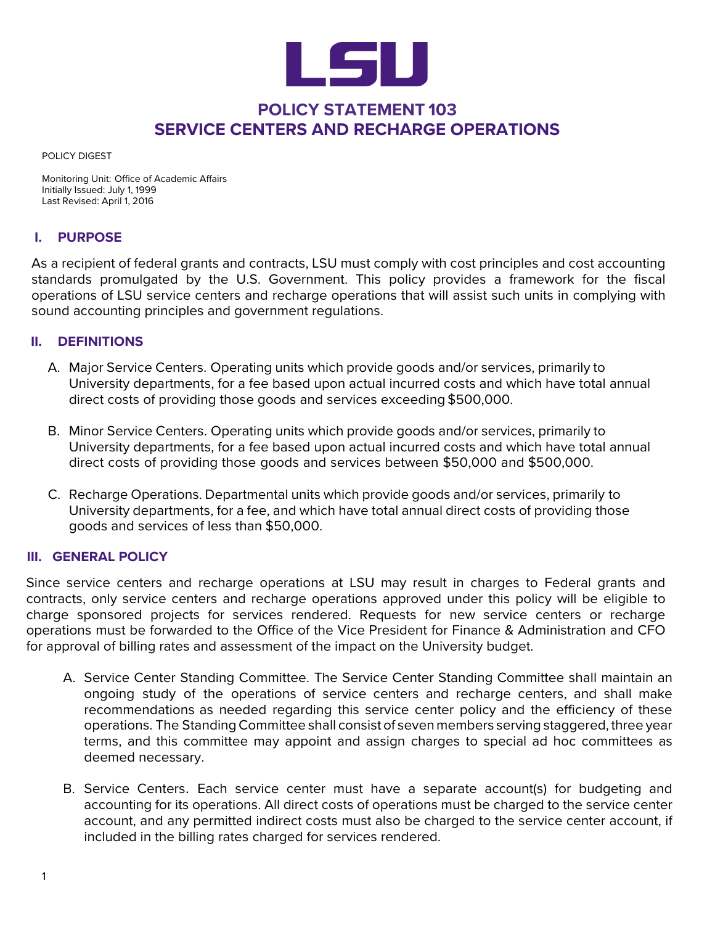

## **POLICY STATEMENT 103 SERVICE CENTERS AND RECHARGE OPERATIONS**

POLICY DIGEST

Monitoring Unit: Office of Academic Affairs Initially Issued: July 1, 1999 Last Revised: April 1, 2016

## **I. PURPOSE**

As a recipient of federal grants and contracts, LSU must comply with cost principles and cost accounting standards promulgated by the U.S. Government. This policy provides a framework for the fiscal operations of LSU service centers and recharge operations that will assist such units in complying with sound accounting principles and government regulations.

## **II. DEFINITIONS**

- A. Major Service Centers. Operating units which provide goods and/or services, primarily to University departments, for a fee based upon actual incurred costs and which have total annual direct costs of providing those goods and services exceeding \$500,000.
- B. Minor Service Centers. Operating units which provide goods and/or services, primarily to University departments, for a fee based upon actual incurred costs and which have total annual direct costs of providing those goods and services between \$50,000 and \$500,000.
- C. Recharge Operations. Departmental units which provide goods and/or services, primarily to University departments, for a fee, and which have total annual direct costs of providing those goods and services of less than \$50,000.

## **III. GENERAL POLICY**

Since service centers and recharge operations at LSU may result in charges to Federal grants and contracts, only service centers and recharge operations approved under this policy will be eligible to charge sponsored projects for services rendered. Requests for new service centers or recharge operations must be forwarded to the Office of the Vice President for Finance & Administration and CFO for approval of billing rates and assessment of the impact on the University budget.

- A. Service Center Standing Committee. The Service Center Standing Committee shall maintain an ongoing study of the operations of service centers and recharge centers, and shall make recommendations as needed regarding this service center policy and the efficiency of these operations. The Standing Committee shall consist of seven members serving staggered, three year terms, and this committee may appoint and assign charges to special ad hoc committees as deemed necessary.
- B. Service Centers. Each service center must have a separate account(s) for budgeting and accounting for its operations. All direct costs of operations must be charged to the service center account, and any permitted indirect costs must also be charged to the service center account, if included in the billing rates charged for services rendered.